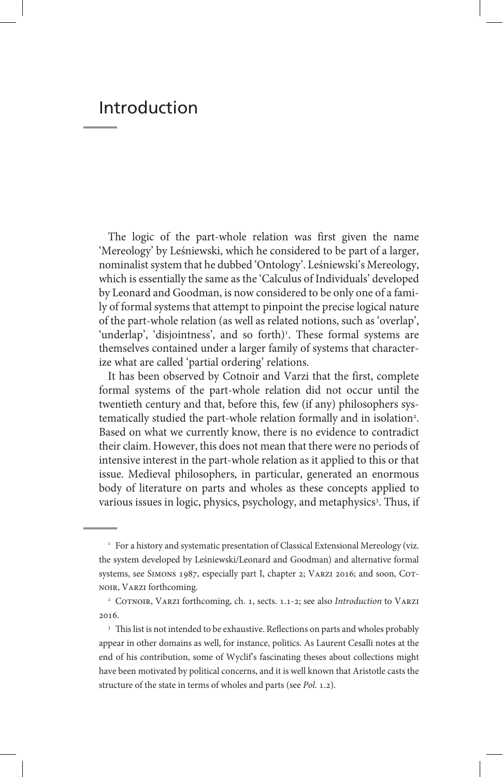## Introduction

The logic of the part-whole relation was first given the name 'Mereology' by Leśniewski, which he considered to be part of a larger, nominalist system that he dubbed 'Ontology'. Leśniewski's Mereology, which is essentially the same as the 'Calculus of Individuals' developed by Leonard and Goodman, is now considered to be only one of a family of formal systems that attempt to pinpoint the precise logical nature of the part-whole relation (as well as related notions, such as 'overlap', 'underlap', 'disjointness', and so forth)<sup>1</sup>. These formal systems are themselves contained under a larger family of systems that characterize what are called 'partial ordering' relations.

It has been observed by Cotnoir and Varzi that the first, complete formal systems of the part-whole relation did not occur until the twentieth century and that, before this, few (if any) philosophers systematically studied the part-whole relation formally and in isolation<sup>2</sup>. Based on what we currently know, there is no evidence to contradict their claim. However, this does not mean that there were no periods of intensive interest in the part-whole relation as it applied to this or that issue. Medieval philosophers, in particular, generated an enormous body of literature on parts and wholes as these concepts applied to various issues in logic, physics, psychology, and metaphysics<sup>3</sup>. Thus, if

<sup>&</sup>lt;sup>1</sup> For a history and systematic presentation of Classical Extensional Mereology (viz. the system developed by Leśniewski/Leonard and Goodman) and alternative formal systems, see SIMONS 1987, especially part I, chapter 2; VARZI 2016; and soon, COTnoir, Varzi forthcoming.

<sup>&</sup>lt;sup>2</sup> COTNOIR, VARZI forthcoming, ch. 1, sects. 1.1-2; see also *Introduction* to VARZI 2016.

<sup>&</sup>lt;sup>3</sup> This list is not intended to be exhaustive. Reflections on parts and wholes probably appear in other domains as well, for instance, politics. As Laurent Cesalli notes at the end of his contribution, some of Wyclif's fascinating theses about collections might have been motivated by political concerns, and it is well known that Aristotle casts the structure of the state in terms of wholes and parts (see *Pol.* 1.2).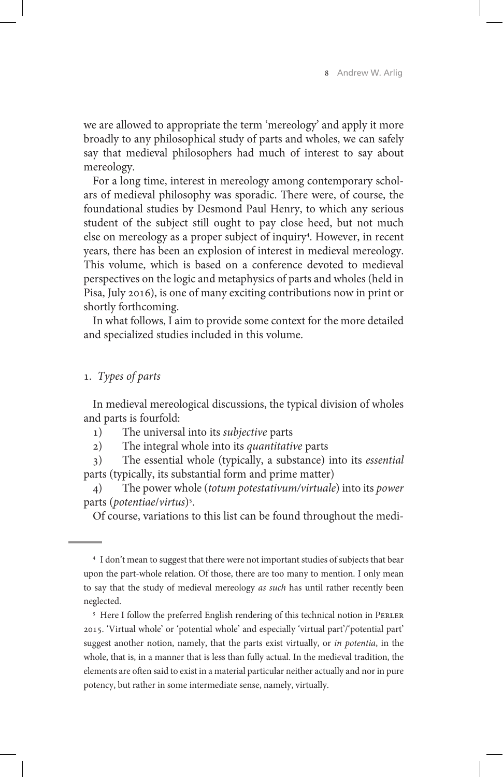we are allowed to appropriate the term 'mereology' and apply it more broadly to any philosophical study of parts and wholes, we can safely say that medieval philosophers had much of interest to say about mereology.

For a long time, interest in mereology among contemporary scholars of medieval philosophy was sporadic. There were, of course, the foundational studies by Desmond Paul Henry, to which any serious student of the subject still ought to pay close heed, but not much else on mereology as a proper subject of inquiry<sup>4</sup>. However, in recent years, there has been an explosion of interest in medieval mereology. This volume, which is based on a conference devoted to medieval perspectives on the logic and metaphysics of parts and wholes (held in Pisa, July 2016), is one of many exciting contributions now in print or shortly forthcoming.

In what follows, I aim to provide some context for the more detailed and specialized studies included in this volume.

## 1. *Types of parts*

In medieval mereological discussions, the typical division of wholes and parts is fourfold:

1) The universal into its *subjective* parts

2) The integral whole into its *quantitative* parts

3) The essential whole (typically, a substance) into its *essential* parts (typically, its substantial form and prime matter)

4) The power whole (*totum potestativum/virtuale*) into its *power*  parts (*potentiae*/*virtus*)5 .

Of course, variations to this list can be found throughout the medi-

<sup>5</sup> Here I follow the preferred English rendering of this technical notion in PERLER 2015. 'Virtual whole' or 'potential whole' and especially 'virtual part'/'potential part' suggest another notion, namely, that the parts exist virtually, or *in potentia*, in the whole, that is, in a manner that is less than fully actual. In the medieval tradition, the elements are often said to exist in a material particular neither actually and nor in pure potency, but rather in some intermediate sense, namely, virtually.

<sup>4</sup> I don't mean to suggest that there were not important studies of subjects that bear upon the part-whole relation. Of those, there are too many to mention. I only mean to say that the study of medieval mereology *as such* has until rather recently been neglected.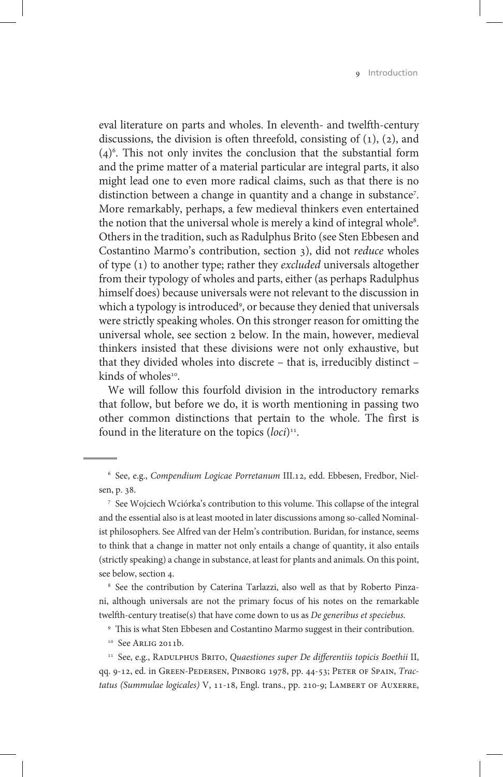eval literature on parts and wholes. In eleventh- and twelfth-century discussions, the division is often threefold, consisting of  $(1)$ ,  $(2)$ , and  $(4)$ <sup>6</sup>. This not only invites the conclusion that the substantial form and the prime matter of a material particular are integral parts, it also might lead one to even more radical claims, such as that there is no distinction between a change in quantity and a change in substance<sup>7</sup>. More remarkably, perhaps, a few medieval thinkers even entertained the notion that the universal whole is merely a kind of integral whole $^{\rm 8}.$ Others in the tradition, such as Radulphus Brito (see Sten Ebbesen and Costantino Marmo's contribution, section 3), did not *reduce* wholes of type (1) to another type; rather they *excluded* universals altogether from their typology of wholes and parts, either (as perhaps Radulphus himself does) because universals were not relevant to the discussion in which a typology is introduced9 , or because they denied that universals were strictly speaking wholes. On this stronger reason for omitting the universal whole, see section 2 below. In the main, however, medieval thinkers insisted that these divisions were not only exhaustive, but that they divided wholes into discrete – that is, irreducibly distinct – kinds of wholes $10^{-10}$ .

We will follow this fourfold division in the introductory remarks that follow, but before we do, it is worth mentioning in passing two other common distinctions that pertain to the whole. The first is found in the literature on the topics (*loci*)<sup>11</sup>.

<sup>7</sup> See Wojciech Wciórka's contribution to this volume. This collapse of the integral and the essential also is at least mooted in later discussions among so-called Nominalist philosophers. See Alfred van der Helm's contribution. Buridan, for instance, seems to think that a change in matter not only entails a change of quantity, it also entails (strictly speaking) a change in substance, at least for plants and animals. On this point, see below, section 4.

<sup>8</sup> See the contribution by Caterina Tarlazzi, also well as that by Roberto Pinzani, although universals are not the primary focus of his notes on the remarkable twelfth-century treatise(s) that have come down to us as *De generibus et speciebus*.

<sup>9</sup> This is what Sten Ebbesen and Costantino Marmo suggest in their contribution.

<sup>10</sup> See ARLIG 2011b.

<sup>11</sup> See, e.g., RADULPHUS BRITO, *Quaestiones super De differentiis topicis Boethii* II, qq. 9-12, ed. in Green-Pedersen, Pinborg 1978, pp. 44-53; Peter of Spain, *Trac*tatus (Summulae logicales) V, 11-18, Engl. trans., pp. 210-9; LAMBERT OF AUXERRE,

<sup>6</sup> See, e.g., *Compendium Logicae Porretanum* III.12, edd. Ebbesen, Fredbor, Nielsen, p. 38.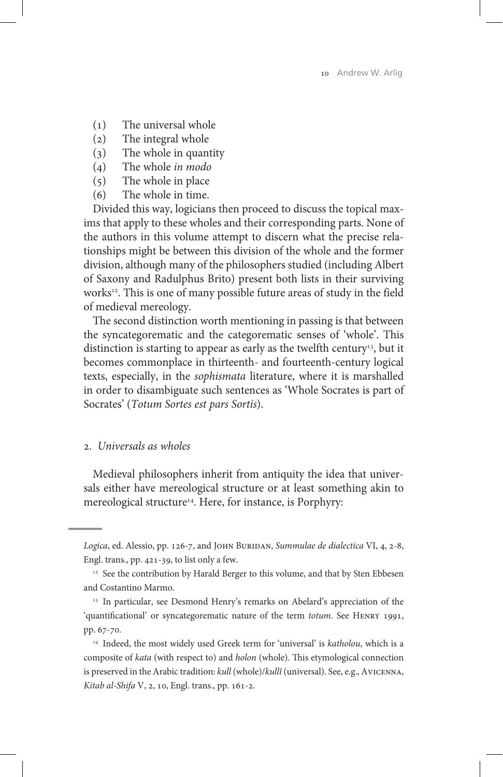- (1) The universal whole
- (2) The integral whole<br>(3) The whole in quan
- The whole in quantity
- (4) The whole *in modo*
- (5) The whole in place<br>(6) The whole in time.
- The whole in time.

Divided this way, logicians then proceed to discuss the topical maxims that apply to these wholes and their corresponding parts. None of the authors in this volume attempt to discern what the precise relationships might be between this division of the whole and the former division, although many of the philosophers studied (including Albert of Saxony and Radulphus Brito) present both lists in their surviving works<sup>12</sup>. This is one of many possible future areas of study in the field of medieval mereology.

The second distinction worth mentioning in passing is that between the syncategorematic and the categorematic senses of 'whole'. This distinction is starting to appear as early as the twelfth century<sup>13</sup>, but it becomes commonplace in thirteenth- and fourteenth-century logical texts, especially, in the *sophismata* literature, where it is marshalled in order to disambiguate such sentences as 'Whole Socrates is part of Socrates' (*Totum Sortes est pars Sortis*).

## 2. *Universals as wholes*

Medieval philosophers inherit from antiquity the idea that universals either have mereological structure or at least something akin to mereological structure<sup>14</sup>. Here, for instance, is Porphyry:

Logica, ed. Alessio, pp. 126-7, and JOHN BURIDAN, *Summulae de dialectica* VI, 4, 2-8, Engl. trans., pp. 421-39, to list only a few.

<sup>&</sup>lt;sup>12</sup> See the contribution by Harald Berger to this volume, and that by Sten Ebbesen and Costantino Marmo.

<sup>&</sup>lt;sup>13</sup> In particular, see Desmond Henry's remarks on Abelard's appreciation of the 'quantificational' or syncategorematic nature of the term *totum*. See Henry 1991, pp. 67-70.

<sup>14</sup> Indeed, the most widely used Greek term for 'universal' is *katholou*, which is a composite of *kata* (with respect to) and *holon* (whole). This etymological connection is preserved in the Arabic tradition: *kull* (whole)/*kullî* (universal). See, e.g., Avicenna, *Kitab al-Shifa* V, 2, 10, Engl. trans., pp. 161-2.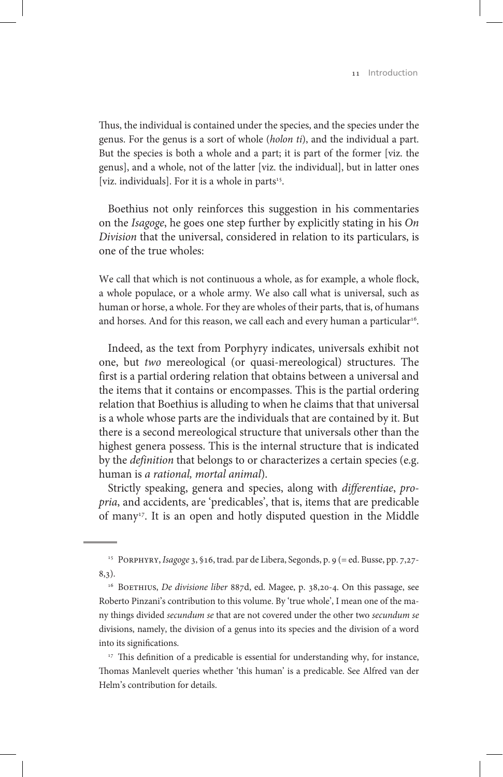Thus, the individual is contained under the species, and the species under the genus. For the genus is a sort of whole (*holon ti*), and the individual a part. But the species is both a whole and a part; it is part of the former [viz. the genus], and a whole, not of the latter [viz. the individual], but in latter ones [viz. individuals]. For it is a whole in parts $15$ .

Boethius not only reinforces this suggestion in his commentaries on the *Isagoge*, he goes one step further by explicitly stating in his *On Division* that the universal, considered in relation to its particulars, is one of the true wholes:

We call that which is not continuous a whole, as for example, a whole flock, a whole populace, or a whole army. We also call what is universal, such as human or horse, a whole. For they are wholes of their parts, that is, of humans and horses. And for this reason, we call each and every human a particular<sup>16</sup>.

Indeed, as the text from Porphyry indicates, universals exhibit not one, but *two* mereological (or quasi-mereological) structures. The first is a partial ordering relation that obtains between a universal and the items that it contains or encompasses. This is the partial ordering relation that Boethius is alluding to when he claims that that universal is a whole whose parts are the individuals that are contained by it. But there is a second mereological structure that universals other than the highest genera possess. This is the internal structure that is indicated by the *definition* that belongs to or characterizes a certain species (e.g. human is *a rational, mortal animal*).

Strictly speaking, genera and species, along with *differentiae*, *propria*, and accidents, are 'predicables', that is, items that are predicable of many<sup>17</sup>. It is an open and hotly disputed question in the Middle

<sup>15</sup> Porphyry, *Isagoge* 3, §16, trad. par de Libera, Segonds, p. 9 (= ed. Busse, pp. 7,27- 8,3).

<sup>&</sup>lt;sup>16</sup> BOETHIUS, *De divisione liber* 887d, ed. Magee, p. 38,20-4. On this passage, see Roberto Pinzani's contribution to this volume. By 'true whole', I mean one of the many things divided *secundum se* that are not covered under the other two *secundum se*  divisions, namely, the division of a genus into its species and the division of a word into its significations.

<sup>&</sup>lt;sup>17</sup> This definition of a predicable is essential for understanding why, for instance, Thomas Manlevelt queries whether 'this human' is a predicable. See Alfred van der Helm's contribution for details.